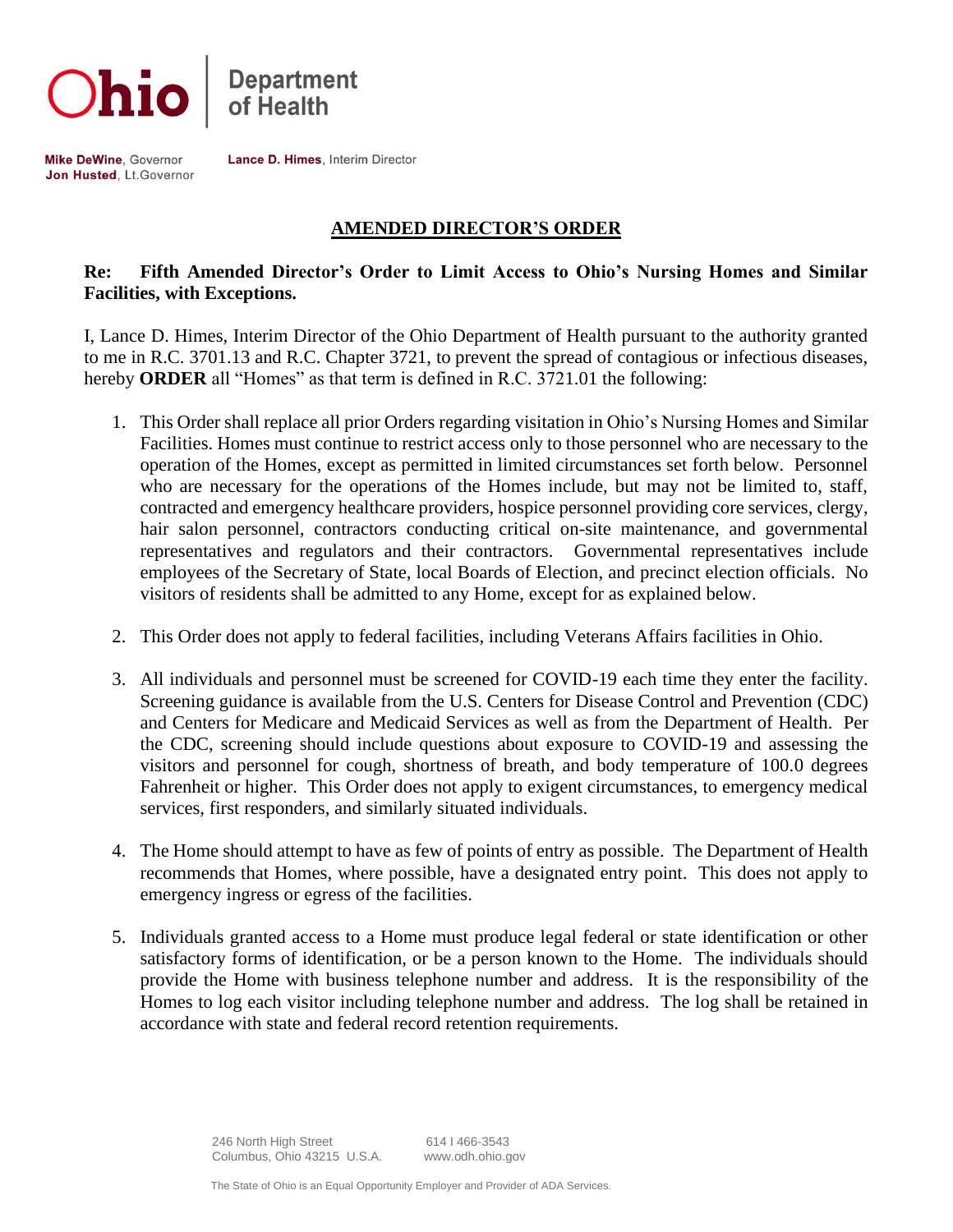



Mike DeWine, Governor Jon Husted, Lt.Governor Lance D. Himes, Interim Director

# **AMENDED DIRECTOR'S ORDER**

## **Re: Fifth Amended Director's Order to Limit Access to Ohio's Nursing Homes and Similar Facilities, with Exceptions.**

I, Lance D. Himes, Interim Director of the Ohio Department of Health pursuant to the authority granted to me in R.C. 3701.13 and R.C. Chapter 3721, to prevent the spread of contagious or infectious diseases, hereby **ORDER** all "Homes" as that term is defined in R.C. 3721.01 the following:

- 1. This Order shall replace all prior Orders regarding visitation in Ohio's Nursing Homes and Similar Facilities. Homes must continue to restrict access only to those personnel who are necessary to the operation of the Homes, except as permitted in limited circumstances set forth below. Personnel who are necessary for the operations of the Homes include, but may not be limited to, staff, contracted and emergency healthcare providers, hospice personnel providing core services, clergy, hair salon personnel, contractors conducting critical on-site maintenance, and governmental representatives and regulators and their contractors. Governmental representatives include employees of the Secretary of State, local Boards of Election, and precinct election officials. No visitors of residents shall be admitted to any Home, except for as explained below.
- 2. This Order does not apply to federal facilities, including Veterans Affairs facilities in Ohio.
- 3. All individuals and personnel must be screened for COVID-19 each time they enter the facility. Screening guidance is available from the U.S. Centers for Disease Control and Prevention (CDC) and Centers for Medicare and Medicaid Services as well as from the Department of Health. Per the CDC, screening should include questions about exposure to COVID-19 and assessing the visitors and personnel for cough, shortness of breath, and body temperature of 100.0 degrees Fahrenheit or higher. This Order does not apply to exigent circumstances, to emergency medical services, first responders, and similarly situated individuals.
- 4. The Home should attempt to have as few of points of entry as possible. The Department of Health recommends that Homes, where possible, have a designated entry point. This does not apply to emergency ingress or egress of the facilities.
- 5. Individuals granted access to a Home must produce legal federal or state identification or other satisfactory forms of identification, or be a person known to the Home. The individuals should provide the Home with business telephone number and address. It is the responsibility of the Homes to log each visitor including telephone number and address. The log shall be retained in accordance with state and federal record retention requirements.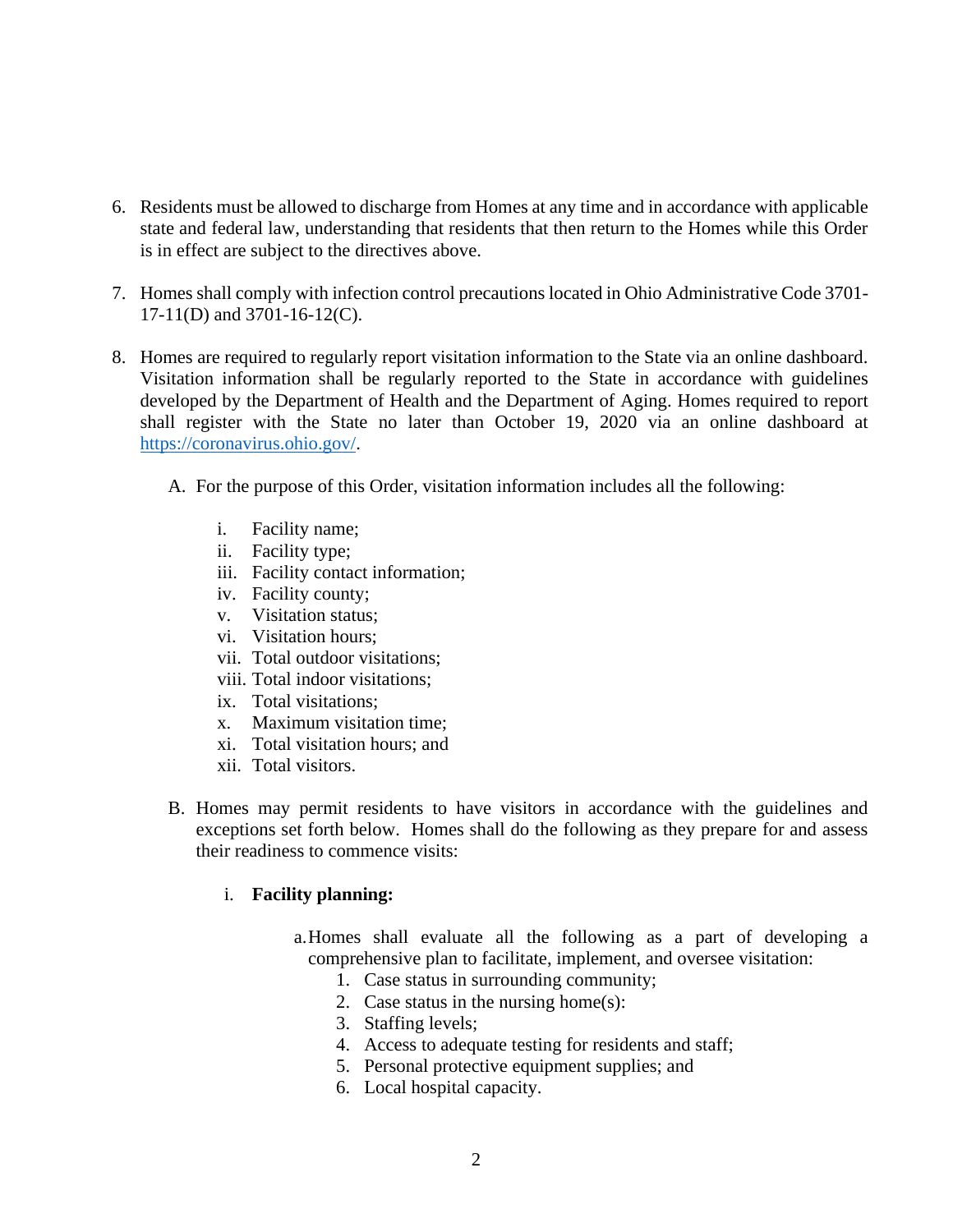- 6. Residents must be allowed to discharge from Homes at any time and in accordance with applicable state and federal law, understanding that residents that then return to the Homes while this Order is in effect are subject to the directives above.
- 7. Homes shall comply with infection control precautions located in Ohio Administrative Code 3701- 17-11(D) and 3701-16-12(C).
- 8. Homes are required to regularly report visitation information to the State via an online dashboard. Visitation information shall be regularly reported to the State in accordance with guidelines developed by the Department of Health and the Department of Aging. Homes required to report shall register with the State no later than October 19, 2020 via an online dashboard at [https://coronavirus.ohio.gov/.](https://coronavirus.ohio.gov/)
	- A. For the purpose of this Order, visitation information includes all the following:
		- i. Facility name;
		- ii. Facility type;
		- iii. Facility contact information;
		- iv. Facility county;
		- v. Visitation status;
		- vi. Visitation hours;
		- vii. Total outdoor visitations;
		- viii. Total indoor visitations;
		- ix. Total visitations;
		- x. Maximum visitation time;
		- xi. Total visitation hours; and
		- xii. Total visitors.
	- B. Homes may permit residents to have visitors in accordance with the guidelines and exceptions set forth below. Homes shall do the following as they prepare for and assess their readiness to commence visits:

### i. **Facility planning:**

- a.Homes shall evaluate all the following as a part of developing a comprehensive plan to facilitate, implement, and oversee visitation:
	- 1. Case status in surrounding community;
	- 2. Case status in the nursing home(s):
	- 3. Staffing levels;
	- 4. Access to adequate testing for residents and staff;
	- 5. Personal protective equipment supplies; and
	- 6. Local hospital capacity.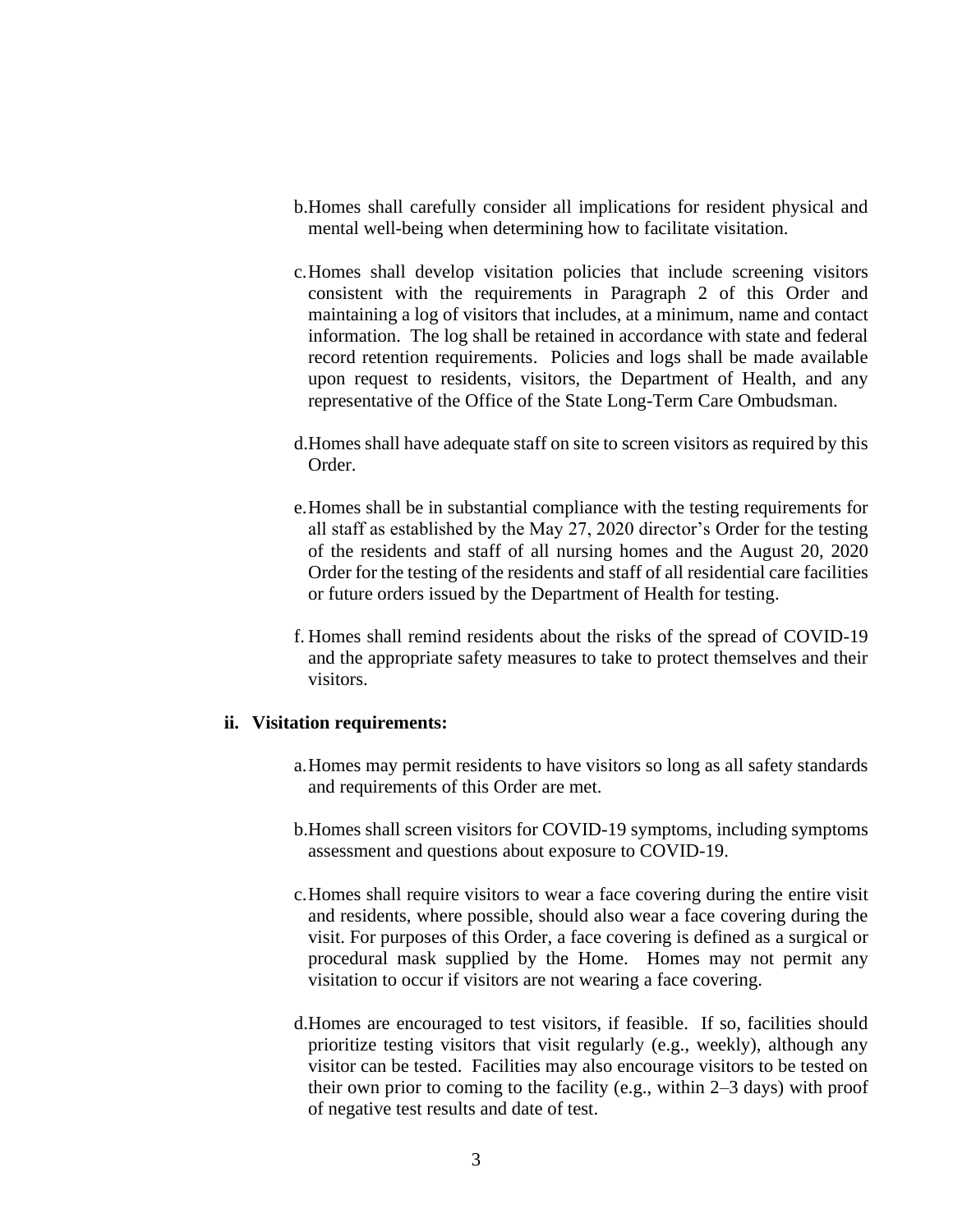- b.Homes shall carefully consider all implications for resident physical and mental well-being when determining how to facilitate visitation.
- c.Homes shall develop visitation policies that include screening visitors consistent with the requirements in Paragraph 2 of this Order and maintaining a log of visitors that includes, at a minimum, name and contact information. The log shall be retained in accordance with state and federal record retention requirements. Policies and logs shall be made available upon request to residents, visitors, the Department of Health, and any representative of the Office of the State Long-Term Care Ombudsman.
- d.Homes shall have adequate staff on site to screen visitors as required by this Order.
- e.Homes shall be in substantial compliance with the testing requirements for all staff as established by the May 27, 2020 director's Order for the testing of the residents and staff of all nursing homes and the August 20, 2020 Order for the testing of the residents and staff of all residential care facilities or future orders issued by the Department of Health for testing.
- f. Homes shall remind residents about the risks of the spread of COVID-19 and the appropriate safety measures to take to protect themselves and their visitors.

#### **ii. Visitation requirements:**

- a.Homes may permit residents to have visitors so long as all safety standards and requirements of this Order are met.
- b.Homes shall screen visitors for COVID-19 symptoms, including symptoms assessment and questions about exposure to COVID-19.
- c.Homes shall require visitors to wear a face covering during the entire visit and residents, where possible, should also wear a face covering during the visit. For purposes of this Order, a face covering is defined as a surgical or procedural mask supplied by the Home. Homes may not permit any visitation to occur if visitors are not wearing a face covering.
- d.Homes are encouraged to test visitors, if feasible. If so, facilities should prioritize testing visitors that visit regularly (e.g., weekly), although any visitor can be tested. Facilities may also encourage visitors to be tested on their own prior to coming to the facility (e.g., within 2–3 days) with proof of negative test results and date of test.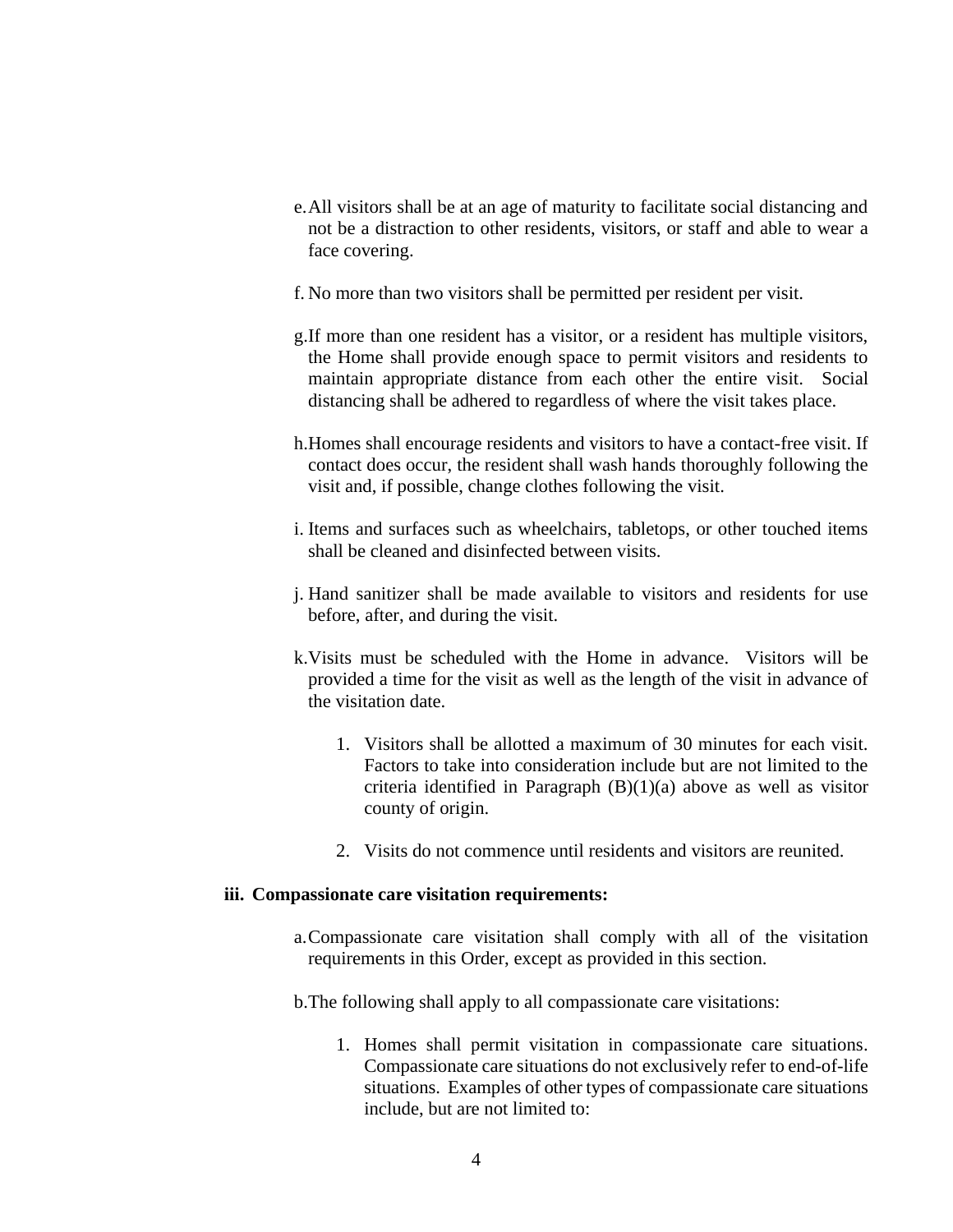- e.All visitors shall be at an age of maturity to facilitate social distancing and not be a distraction to other residents, visitors, or staff and able to wear a face covering.
- f. No more than two visitors shall be permitted per resident per visit.
- g.If more than one resident has a visitor, or a resident has multiple visitors, the Home shall provide enough space to permit visitors and residents to maintain appropriate distance from each other the entire visit. Social distancing shall be adhered to regardless of where the visit takes place.
- h.Homes shall encourage residents and visitors to have a contact-free visit. If contact does occur, the resident shall wash hands thoroughly following the visit and, if possible, change clothes following the visit.
- i. Items and surfaces such as wheelchairs, tabletops, or other touched items shall be cleaned and disinfected between visits.
- j. Hand sanitizer shall be made available to visitors and residents for use before, after, and during the visit.
- k.Visits must be scheduled with the Home in advance. Visitors will be provided a time for the visit as well as the length of the visit in advance of the visitation date.
	- 1. Visitors shall be allotted a maximum of 30 minutes for each visit. Factors to take into consideration include but are not limited to the criteria identified in Paragraph  $(B)(1)(a)$  above as well as visitor county of origin.
	- 2. Visits do not commence until residents and visitors are reunited.

#### **iii. Compassionate care visitation requirements:**

- a.Compassionate care visitation shall comply with all of the visitation requirements in this Order, except as provided in this section.
- b.The following shall apply to all compassionate care visitations:
	- 1. Homes shall permit visitation in compassionate care situations. Compassionate care situations do not exclusively refer to end-of-life situations. Examples of other types of compassionate care situations include, but are not limited to: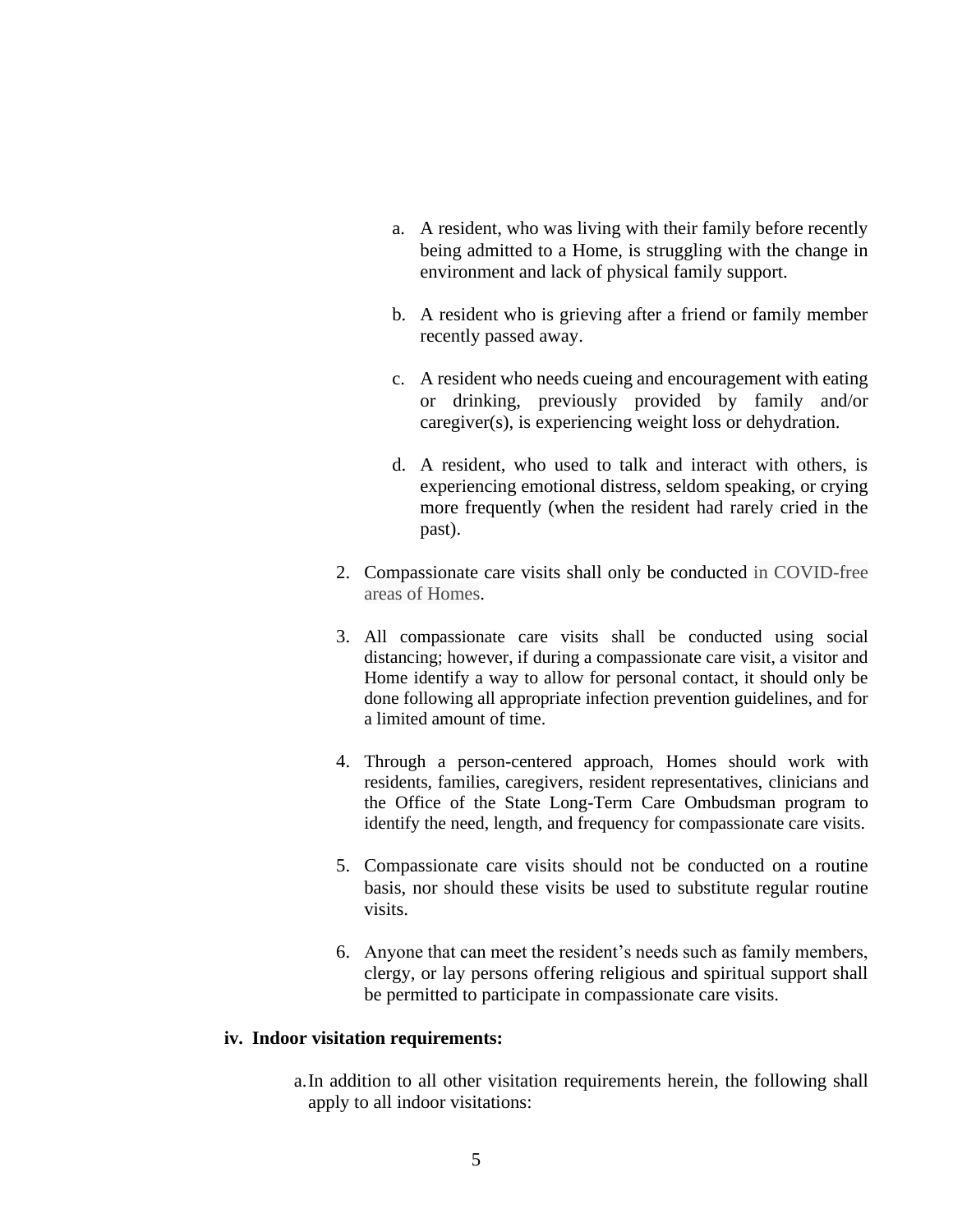- a. A resident, who was living with their family before recently being admitted to a Home, is struggling with the change in environment and lack of physical family support.
- b. A resident who is grieving after a friend or family member recently passed away.
- c. A resident who needs cueing and encouragement with eating or drinking, previously provided by family and/or caregiver(s), is experiencing weight loss or dehydration.
- d. A resident, who used to talk and interact with others, is experiencing emotional distress, seldom speaking, or crying more frequently (when the resident had rarely cried in the past).
- 2. Compassionate care visits shall only be conducted in COVID-free areas of Homes.
- 3. All compassionate care visits shall be conducted using social distancing; however, if during a compassionate care visit, a visitor and Home identify a way to allow for personal contact, it should only be done following all appropriate infection prevention guidelines, and for a limited amount of time.
- 4. Through a person-centered approach, Homes should work with residents, families, caregivers, resident representatives, clinicians and the Office of the State Long-Term Care Ombudsman program to identify the need, length, and frequency for compassionate care visits.
- 5. Compassionate care visits should not be conducted on a routine basis, nor should these visits be used to substitute regular routine visits.
- 6. Anyone that can meet the resident's needs such as family members, clergy, or lay persons offering religious and spiritual support shall be permitted to participate in compassionate care visits.

#### **iv. Indoor visitation requirements:**

a.In addition to all other visitation requirements herein, the following shall apply to all indoor visitations: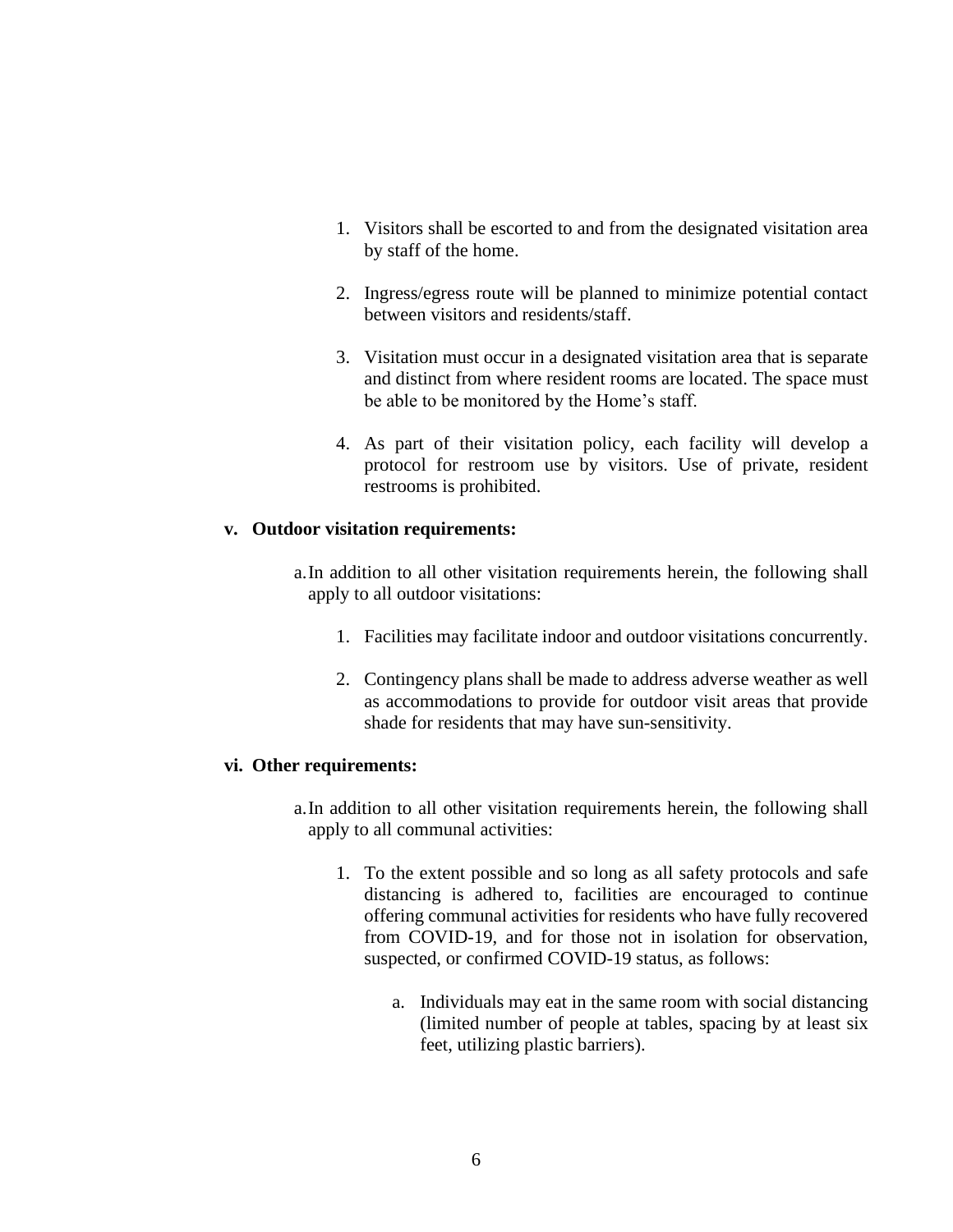- 1. Visitors shall be escorted to and from the designated visitation area by staff of the home.
- 2. Ingress/egress route will be planned to minimize potential contact between visitors and residents/staff.
- 3. Visitation must occur in a designated visitation area that is separate and distinct from where resident rooms are located. The space must be able to be monitored by the Home's staff.
- 4. As part of their visitation policy, each facility will develop a protocol for restroom use by visitors. Use of private, resident restrooms is prohibited.

### **v. Outdoor visitation requirements:**

- a.In addition to all other visitation requirements herein, the following shall apply to all outdoor visitations:
	- 1. Facilities may facilitate indoor and outdoor visitations concurrently.
	- 2. Contingency plans shall be made to address adverse weather as well as accommodations to provide for outdoor visit areas that provide shade for residents that may have sun-sensitivity.

### **vi. Other requirements:**

- a.In addition to all other visitation requirements herein, the following shall apply to all communal activities:
	- 1. To the extent possible and so long as all safety protocols and safe distancing is adhered to, facilities are encouraged to continue offering communal activities for residents who have fully recovered from COVID-19, and for those not in isolation for observation, suspected, or confirmed COVID-19 status, as follows:
		- a. Individuals may eat in the same room with social distancing (limited number of people at tables, spacing by at least six feet, utilizing plastic barriers).